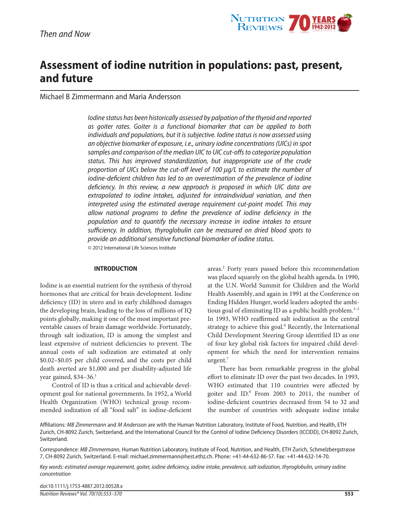

# **Assessment of iodine nutrition in populations: past, present, and future**

Michael B Zimmermann and Maria Andersson

Iodine status has been historically assessed by palpation of the thyroid and reported as goiter rates. Goiter is a functional biomarker that can be applied to both individuals and populations, but it is subjective. Iodine status is now assessed using an objective biomarker of exposure, i.e., urinary iodine concentrations (UICs) in spot samples and comparison of the median UIC to UIC cut-offs to categorize population status. This has improved standardization, but inappropriate use of the crude proportion of UICs below the cut-off level of 100 µg/L to estimate the number of iodine-deficient children has led to an overestimation of the prevalence of iodine deficiency. In this review, a new approach is proposed in which UIC data are extrapolated to iodine intakes, adjusted for intraindividual variation, and then interpreted using the estimated average requirement cut-point model. This may allow national programs to define the prevalence of iodine deficiency in the population and to quantify the necessary increase in iodine intakes to ensure sufficiency. In addition, thyroglobulin can be measured on dried blood spots to provide an additional sensitive functional biomarker of iodine status. © 2012 International Life Sciences Institute

## **INTRODUCTION**

Iodine is an essential nutrient for the synthesis of thyroid hormones that are critical for brain development. Iodine deficiency (ID) in utero and in early childhood damages the developing brain, leading to the loss of millions of IQ points globally, making it one of the most important preventable causes of brain damage worldwide. Fortunately, through salt iodization, ID is among the simplest and least expensive of nutrient deficiencies to prevent. The annual costs of salt iodization are estimated at only \$0.02–\$0.05 per child covered, and the costs per child death averted are \$1,000 and per disability-adjusted life year gained, \$34-36.<sup>1</sup>

Control of ID is thus a critical and achievable development goal for national governments. In 1952, a World Health Organization (WHO) technical group recommended iodization of all "food salt" in iodine-deficient areas.2 Forty years passed before this recommendation was placed squarely on the global health agenda. In 1990, at the U.N. World Summit for Children and the World Health Assembly, and again in 1991 at the Conference on Ending Hidden Hunger, world leaders adopted the ambitious goal of eliminating ID as a public health problem.<sup>3-5</sup> In 1993, WHO reaffirmed salt iodization as the central strategy to achieve this goal.<sup>6</sup> Recently, the International Child Development Steering Group identified ID as one of four key global risk factors for impaired child development for which the need for intervention remains urgent.<sup>7</sup>

There has been remarkable progress in the global effort to eliminate ID over the past two decades. In 1993, WHO estimated that 110 countries were affected by goiter and ID.8 From 2003 to 2011, the number of iodine-deficient countries decreased from 54 to 32 and the number of countries with adequate iodine intake

Affiliations: MB Zimmermann and M Andersson are with the Human Nutrition Laboratory, Institute of Food, Nutrition, and Health, ETH Zurich, CH-8092 Zurich, Switzerland, and the International Council for the Control of Iodine Deficiency Disorders (ICCIDD), CH-8092 Zurich, Switzerland.

Correspondence: MB Zimmermann, Human Nutrition Laboratory, Institute of Food, Nutrition, and Health, ETH Zurich, Schmelzbergstrasse 7, CH-8092 Zurich, Switzerland. E-mail: michael.zimmermann@hest.ethz.ch. Phone: +41-44-632-86-57. Fax: +41-44-632-14-70.

Key words: estimated average requirement, goiter, iodine deficiency, iodine intake, prevalence, salt iodization, thyroglobulin, urinary iodine concentration

doi:10.1111/j.1753-4887.2012.00528.x Nutrition Reviews® Vol. 70(10):553–570 **553**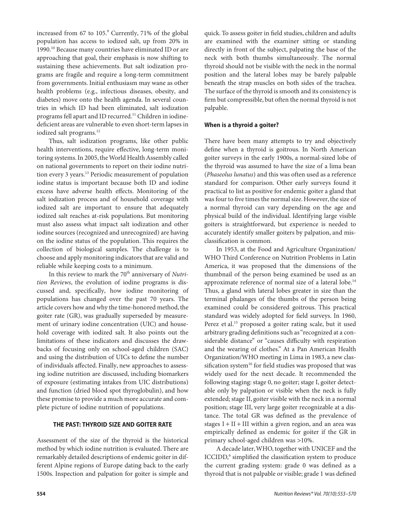increased from 67 to 105.<sup>9</sup> Currently, 71% of the global population has access to iodized salt, up from 20% in 1990.<sup>10</sup> Because many countries have eliminated ID or are approaching that goal, their emphasis is now shifting to sustaining these achievements. But salt iodization programs are fragile and require a long-term commitment from governments. Initial enthusiasm may wane as other health problems (e.g., infectious diseases, obesity, and diabetes) move onto the health agenda. In several countries in which ID had been eliminated, salt iodization programs fell apart and ID recurred.<sup>11</sup> Children in iodinedeficient areas are vulnerable to even short-term lapses in iodized salt programs.<sup>12</sup>

Thus, salt iodization programs, like other public health interventions, require effective, long-term monitoring systems. In 2005, the World Health Assembly called on national governments to report on their iodine nutrition every 3 years.<sup>13</sup> Periodic measurement of population iodine status is important because both ID and iodine excess have adverse health effects. Monitoring of the salt iodization process and of household coverage with iodized salt are important to ensure that adequately iodized salt reaches at-risk populations. But monitoring must also assess what impact salt iodization and other iodine sources (recognized and unrecognized) are having on the iodine status of the population. This requires the collection of biological samples. The challenge is to choose and apply monitoring indicators that are valid and reliable while keeping costs to a minimum.

In this review to mark the 70<sup>th</sup> anniversary of *Nutrition Reviews*, the evolution of iodine programs is discussed and, specifically, how iodine monitoring of populations has changed over the past 70 years. The article covers how and why the time-honored method, the goiter rate (GR), was gradually superseded by measurement of urinary iodine concentration (UIC) and household coverage with iodized salt. It also points out the limitations of these indicators and discusses the drawbacks of focusing only on school-aged children (SAC) and using the distribution of UICs to define the number of individuals affected. Finally, new approaches to assessing iodine nutrition are discussed, including biomarkers of exposure (estimating intakes from UIC distributions) and function (dried blood spot thyroglobulin), and how these promise to provide a much more accurate and complete picture of iodine nutrition of populations.

## **THE PAST: THYROID SIZE AND GOITER RATE**

Assessment of the size of the thyroid is the historical method by which iodine nutrition is evaluated. There are remarkably detailed descriptions of endemic goiter in different Alpine regions of Europe dating back to the early 1500s. Inspection and palpation for goiter is simple and quick. To assess goiter in field studies, children and adults are examined with the examiner sitting or standing directly in front of the subject, palpating the base of the neck with both thumbs simultaneously. The normal thyroid should not be visible with the neck in the normal position and the lateral lobes may be barely palpable beneath the strap muscles on both sides of the trachea. The surface of the thyroid is smooth and its consistency is firm but compressible, but often the normal thyroid is not palpable.

## **When is a thyroid a goiter?**

There have been many attempts to try and objectively define when a thyroid is goitrous. In North American goiter surveys in the early 1900s, a normal-sized lobe of the thyroid was assumed to have the size of a lima bean (*Phaseolus lunatus*) and this was often used as a reference standard for comparison. Other early surveys found it practical to list as positive for endemic goiter a gland that was four to five times the normal size. However, the size of a normal thyroid can vary depending on the age and physical build of the individual. Identifying large visible goiters is straightforward, but experience is needed to accurately identify smaller goiters by palpation, and misclassification is common.

In 1953, at the Food and Agriculture Organization/ WHO Third Conference on Nutrition Problems in Latin America, it was proposed that the dimensions of the thumbnail of the person being examined be used as an approximate reference of normal size of a lateral lobe.<sup>14</sup> Thus, a gland with lateral lobes greater in size than the terminal phalanges of the thumbs of the person being examined could be considered goitrous. This practical standard was widely adopted for field surveys. In 1960, Perez et al.<sup>15</sup> proposed a goiter rating scale, but it used arbitrary grading definitions such as "recognized at a considerable distance" or "causes difficulty with respiration and the wearing of clothes." At a Pan American Health Organization/WHO meeting in Lima in 1983, a new classification system<sup>16</sup> for field studies was proposed that was widely used for the next decade. It recommended the following staging: stage 0, no goiter; stage I, goiter detectable only by palpation or visible when the neck is fully extended; stage II, goiter visible with the neck in a normal position; stage III, very large goiter recognizable at a distance. The total GR was defined as the prevalence of stages  $I + II + III$  within a given region, and an area was empirically defined as endemic for goiter if the GR in primary school-aged children was >10%.

A decade later,WHO, together with UNICEF and the ICCIDD,<sup>6</sup> simplified the classification system to produce the current grading system: grade 0 was defined as a thyroid that is not palpable or visible; grade 1 was defined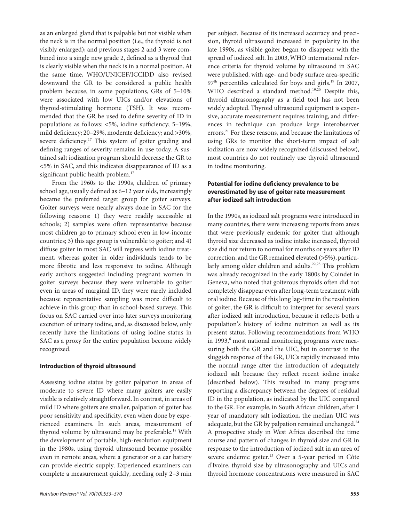as an enlarged gland that is palpable but not visible when the neck is in the normal position (i.e., the thyroid is not visibly enlarged); and previous stages 2 and 3 were combined into a single new grade 2, defined as a thyroid that is clearly visible when the neck is in a normal position. At the same time, WHO/UNICEF/ICCIDD also revised downward the GR to be considered a public health problem because, in some populations, GRs of 5–10% were associated with low UICs and/or elevations of thyroid-stimulating hormone (TSH). It was recommended that the GR be used to define severity of ID in populations as follows: <5%, iodine sufficiency; 5–19%, mild deficiency; 20–29%, moderate deficiency; and >30%, severe deficiency.<sup>17</sup> This system of goiter grading and defining ranges of severity remains in use today. A sustained salt iodization program should decrease the GR to <5% in SAC, and this indicates disappearance of ID as a significant public health problem.<sup>17</sup>

From the 1960s to the 1990s, children of primary school age, usually defined as 6–12 year olds, increasingly became the preferred target group for goiter surveys. Goiter surveys were nearly always done in SAC for the following reasons: 1) they were readily accessible at schools; 2) samples were often representative because most children go to primary school even in low-income countries; 3) this age group is vulnerable to goiter; and 4) diffuse goiter in most SAC will regress with iodine treatment, whereas goiter in older individuals tends to be more fibrotic and less responsive to iodine. Although early authors suggested including pregnant women in goiter surveys because they were vulnerable to goiter even in areas of marginal ID, they were rarely included because representative sampling was more difficult to achieve in this group than in school-based surveys. This focus on SAC carried over into later surveys monitoring excretion of urinary iodine, and, as discussed below, only recently have the limitations of using iodine status in SAC as a proxy for the entire population become widely recognized.

#### **Introduction of thyroid ultrasound**

Assessing iodine status by goiter palpation in areas of moderate to severe ID where many goiters are easily visible is relatively straightforward. In contrast, in areas of mild ID where goiters are smaller, palpation of goiter has poor sensitivity and specificity, even when done by experienced examiners. In such areas, measurement of thyroid volume by ultrasound may be preferable.<sup>18</sup> With the development of portable, high-resolution equipment in the 1980s, using thyroid ultrasound became possible even in remote areas, where a generator or a car battery can provide electric supply. Experienced examiners can complete a measurement quickly, needing only 2–3 min

per subject. Because of its increased accuracy and precision, thyroid ultrasound increased in popularity in the late 1990s, as visible goiter began to disappear with the spread of iodized salt. In 2003, WHO international reference criteria for thyroid volume by ultrasound in SAC were published, with age- and body surface area-specific 97<sup>th</sup> percentiles calculated for boys and girls.<sup>19</sup> In 2007, WHO described a standard method.<sup>19,20</sup> Despite this, thyroid ultrasonography as a field tool has not been widely adopted. Thyroid ultrasound equipment is expensive, accurate measurement requires training, and differences in technique can produce large interobserver errors.<sup>21</sup> For these reasons, and because the limitations of using GRs to monitor the short-term impact of salt iodization are now widely recognized (discussed below), most countries do not routinely use thyroid ultrasound in iodine monitoring.

## **Potential for iodine deficiency prevalence to be overestimated by use of goiter rate measurement after iodized salt introduction**

In the 1990s, as iodized salt programs were introduced in many countries, there were increasing reports from areas that were previously endemic for goiter that although thyroid size decreased as iodine intake increased, thyroid size did not return to normal for months or years after ID correction, and the GR remained elevated (>5%), particularly among older children and adults.<sup>22,23</sup> This problem was already recognized in the early 1800s by Coindet in Geneva, who noted that goiterous thyroids often did not completely disappear even after long-term treatment with oral iodine. Because of this long lag-time in the resolution of goiter, the GR is difficult to interpret for several years after iodized salt introduction, because it reflects both a population's history of iodine nutrition as well as its present status. Following recommendations from WHO in 1993,<sup>6</sup> most national monitoring programs were measuring both the GR and the UIC, but in contrast to the sluggish response of the GR, UICs rapidly increased into the normal range after the introduction of adequately iodized salt because they reflect recent iodine intake (described below). This resulted in many programs reporting a discrepancy between the degrees of residual ID in the population, as indicated by the UIC compared to the GR. For example, in South African children, after 1 year of mandatory salt iodization, the median UIC was adequate, but the GR by palpation remained unchanged.<sup>24</sup> A prospective study in West Africa described the time course and pattern of changes in thyroid size and GR in response to the introduction of iodized salt in an area of severe endemic goiter.<sup>23</sup> Over a 5-year period in Côte d'Ivoire, thyroid size by ultrasonography and UICs and thyroid hormone concentrations were measured in SAC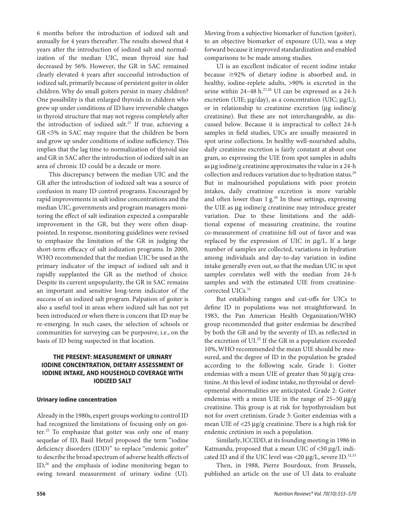6 months before the introduction of iodized salt and annually for 4 years thereafter. The results showed that 4 years after the introduction of iodized salt and normalization of the median UIC, mean thyroid size had decreased by 56%. However, the GR in SAC remained clearly elevated 4 years after successful introduction of iodized salt, primarily because of persistent goiter in older children. Why do small goiters persist in many children? One possibility is that enlarged thyroids in children who grew up under conditions of ID have irreversible changes in thyroid structure that may not regress completely after the introduction of iodized salt.<sup>23</sup> If true, achieving a GR <5% in SAC may require that the children be born and grow up under conditions of iodine sufficiency. This implies that the lag time to normalization of thyroid size and GR in SAC after the introduction of iodized salt in an area of chronic ID could be a decade or more.

This discrepancy between the median UIC and the GR after the introduction of iodized salt was a source of confusion in many ID control programs. Encouraged by rapid improvements in salt iodine concentrations and the median UIC, governments and program managers monitoring the effect of salt iodization expected a comparable improvement in the GR, but they were often disappointed. In response, monitoring guidelines were revised to emphasize the limitation of the GR in judging the short-term efficacy of salt iodization programs. In 2000, WHO recommended that the median UIC be used as the primary indicator of the impact of iodized salt and it rapidly supplanted the GR as the method of choice. Despite its current unpopularity, the GR in SAC remains an important and sensitive long-term indicator of the success of an iodized salt program. Palpation of goiter is also a useful tool in areas where iodized salt has not yet been introduced or when there is concern that ID may be re-emerging. In such cases, the selection of schools or communities for surveying can be purposive, i.e., on the basis of ID being suspected in that location.

## **THE PRESENT: MEASUREMENT OF URINARY IODINE CONCENTRATION, DIETARY ASSESSMENT OF IODINE INTAKE, AND HOUSEHOLD COVERAGE WITH IODIZED SALT**

## **Urinary iodine concentration**

Already in the 1980s, expert groups working to control ID had recognized the limitations of focusing only on goiter.<sup>25</sup> To emphasize that goiter was only one of many sequelae of ID, Basil Hetzel proposed the term "iodine deficiency disorders (IDD)" to replace "endemic goiter" to describe the broad spectrum of adverse health effects of ID,<sup>26</sup> and the emphasis of iodine monitoring began to swing toward measurement of urinary iodine (UI).

Moving from a subjective biomarker of function (goiter), to an objective biomarker of exposure (UI), was a step forward because it improved standardization and enabled comparisons to be made among studies.

UI is an excellent indicator of recent iodine intake because  $\geq$ 92% of dietary iodine is absorbed and, in healthy, iodine-replete adults, >90% is excreted in the urine within  $24-48$  h.<sup>27,28</sup> UI can be expressed as a  $24-h$ excretion (UIE;  $\mu$ g/day), as a concentration (UIC;  $\mu$ g/L), or in relationship to creatinine excretion  $(\mu g \text{ iodine/g})$ creatinine). But these are not interchangeable, as discussed below. Because it is impractical to collect 24-h samples in field studies, UICs are usually measured in spot urine collections. In healthy well-nourished adults, daily creatinine excretion is fairly constant at about one gram, so expressing the UIE from spot samples in adults as µg iodine/g creatinine approximates the value in a 24-h collection and reduces variation due to hydration status.<sup>29</sup> But in malnourished populations with poor protein intakes, daily creatinine excretion is more variable and often lower than  $1 g<sup>30</sup>$  In these settings, expressing the UIE as  $\mu$ g iodine/g creatinine may introduce greater variation. Due to these limitations and the additional expense of measuring creatinine, the routine co-measurement of creatinine fell out of favor and was replaced by the expression of UIC in  $\mu$ g/L. If a large number of samples are collected, variations in hydration among individuals and day-to-day variation in iodine intake generally even out, so that the median UIC in spot samples correlates well with the median from 24-h samples and with the estimated UIE from creatininecorrected UICs.<sup>31</sup>

But establishing ranges and cut-offs for UICs to define ID in populations was not straightforward. In 1983, the Pan American Health Organization/WHO group recommended that goiter endemias be described by both the GR and by the severity of ID, as reflected in the excretion of UI.<sup>25</sup> If the GR in a population exceeded 10%, WHO recommended the mean UIE should be measured, and the degree of ID in the population be graded according to the following scale. Grade 1: Goiter endemias with a mean UIE of greater than 50  $\mu$ g/g creatinine.At this level of iodine intake, no thyroidal or developmental abnormalities are anticipated. Grade 2: Goiter endemias with a mean UIE in the range of  $25-50 \mu g/g$ creatinine. This group is at risk for hypothyroidism but not for overt cretinism. Grade 3: Goiter endemias with a mean UIE of  $\langle 25 \mu g/g \rangle$  creatinine. There is a high risk for endemic cretinism in such a population.

Similarly, ICCIDD, at its founding meeting in 1986 in Katmandu, proposed that a mean UIC of  $<$  50  $\mu$ g/L indicated ID and if the UIC level was <20  $\mu$ g/L, severe ID.<sup>32,33</sup>

Then, in 1988, Pierre Bourdoux, from Brussels, published an article on the use of UI data to evaluate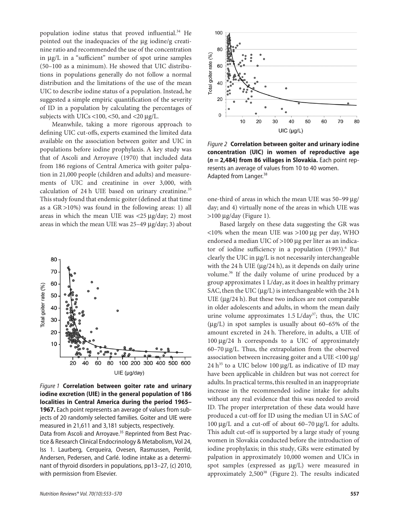population iodine status that proved influential.<sup>34</sup> He pointed out the inadequacies of the  $\mu$ g iodine/g creatinine ratio and recommended the use of the concentration in µg/L in a "sufficient" number of spot urine samples (50–100 as a minimum). He showed that UIC distributions in populations generally do not follow a normal distribution and the limitations of the use of the mean UIC to describe iodine status of a population. Instead, he suggested a simple empiric quantification of the severity of ID in a population by calculating the percentages of subjects with UICs <100, <50, and <20  $\mu$ g/L.

Meanwhile, taking a more rigorous approach to defining UIC cut-offs, experts examined the limited data available on the association between goiter and UIC in populations before iodine prophylaxis. A key study was that of Ascoli and Arroyave (1970) that included data from 186 regions of Central America with goiter palpation in 21,000 people (children and adults) and measurements of UIC and creatinine in over 3,000, with calculation of 24 h UIE based on urinary creatinine.<sup>35</sup> This study found that endemic goiter (defined at that time as a GR >10%) was found in the following areas: 1) all areas in which the mean UIE was  $\langle 25 \mu g / \text{day}; 2 \rangle$  most areas in which the mean UIE was  $25-49 \mu g/day$ ; 3) about



Figure 1 **Correlation between goiter rate and urinary iodine excretion (UIE) in the general population of 186 localities in Central America during the period 1965– 1967.** Each point represents an average of values from subjects of 20 randomly selected families. Goiter and UIE were measured in 21,611 and 3,181 subjects, respectively. Data from Ascoli and Arroyave.<sup>35</sup> Reprinted from Best Practice & Research Clinical Endocrinology & Metabolism, Vol 24, Iss 1. Laurberg, Cerqueira, Ovesen, Rasmussen, Perrild, Andersen, Pedersen, and Carlé. Iodine intake as a determinant of thyroid disorders in populations, pp13–27, (c) 2010,



Figure 2 **Correlation between goiter and urinary iodine concentration (UIC) in women of reproductive age (n** = **2,484) from 86 villages in Slovakia.** Each point represents an average of values from 10 to 40 women. Adapted from Langer.<sup>38</sup>

one-third of areas in which the mean UIE was  $50-99 \mu g$ / day; and 4) virtually none of the areas in which UIE was  $>100 \mu$ g/day (Figure 1).

Based largely on these data suggesting the GR was  $\langle 10\%$  when the mean UIE was  $>100 \mu$ g per day, WHO endorsed a median UIC of >100 µg per liter as an indicator of iodine sufficiency in a population (1993).<sup>6</sup> But clearly the UIC in  $\mu$ g/L is not necessarily interchangeable with the 24 h UIE  $(\mu$ g/24 h), as it depends on daily urine volume.36 If the daily volume of urine produced by a group approximates 1 L/day, as it does in healthy primary SAC, then the UIC ( $\mu$ g/L) is interchangeable with the 24 h UIE ( $\mu$ g/24 h). But these two indices are not comparable in older adolescents and adults, in whom the mean daily urine volume approximates  $1.5 \text{ L/day}^{37}$ ; thus, the UIC  $(\mu g/L)$  in spot samples is usually about 60–65% of the amount excreted in 24 h. Therefore, in adults, a UIE of  $100 \mu g/24$  h corresponds to a UIC of approximately  $60-70 \mu g/L$ . Thus, the extrapolation from the observed association between increasing goiter and a UIE <100  $\mu$ g/ 24  $h^{35}$  to a UIC below 100  $\mu$ g/L as indicative of ID may have been applicable in children but was not correct for adults. In practical terms, this resulted in an inappropriate increase in the recommended iodine intake for adults without any real evidence that this was needed to avoid ID. The proper interpretation of these data would have produced a cut-off for ID using the median UI in SAC of 100  $\mu$ g/L and a cut-off of about 60-70  $\mu$ g/L for adults. This adult cut-off is supported by a large study of young women in Slovakia conducted before the introduction of iodine prophylaxis; in this study, GRs were estimated by palpation in approximately 10,000 women and UICs in spot samples (expressed as  $\mu$ g/L) were measured in approximately 2,500<sup>38</sup> (Figure 2). The results indicated

with permission from Elsevier.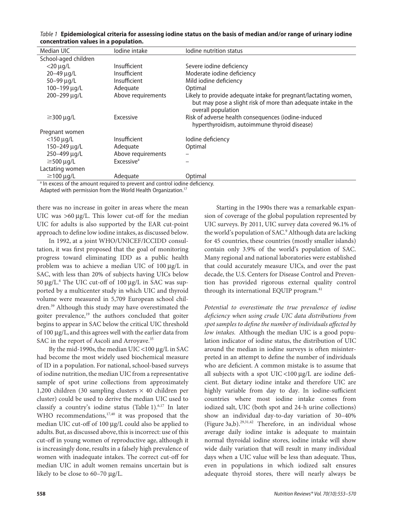| Median UIC           | lodine intake                                                             | lodine nutrition status                                                                                                                                 |
|----------------------|---------------------------------------------------------------------------|---------------------------------------------------------------------------------------------------------------------------------------------------------|
| School-aged children |                                                                           |                                                                                                                                                         |
| $<$ 20 $\mu$ g/L     | Insufficient                                                              | Severe iodine deficiency                                                                                                                                |
| 20-49 µg/L           | Insufficient                                                              | Moderate iodine deficiency                                                                                                                              |
| 50-99 µg/L           | Insufficient                                                              | Mild iodine deficiency                                                                                                                                  |
| 100-199 μg/L         | Adequate                                                                  | Optimal                                                                                                                                                 |
| 200-299 µg/L         | Above requirements                                                        | Likely to provide adequate intake for pregnant/lactating women,<br>but may pose a slight risk of more than adequate intake in the<br>overall population |
| $\geq$ 300 µg/L      | Excessive                                                                 | Risk of adverse health consequences (iodine-induced<br>hyperthyroidism, autoimmune thyroid disease)                                                     |
| Pregnant women       |                                                                           |                                                                                                                                                         |
| $<$ 150 $\mu$ g/L    | Insufficient                                                              | lodine deficiency                                                                                                                                       |
| 150-249 µg/L         | Adequate                                                                  | Optimal                                                                                                                                                 |
| 250-499 µg/L         | Above requirements                                                        |                                                                                                                                                         |
| $\geq$ 500 µg/L      | <b>Excessive</b> <sup>a</sup>                                             |                                                                                                                                                         |
| Lactating women      |                                                                           |                                                                                                                                                         |
| $\geq$ 100 µg/L      | Adequate                                                                  | Optimal                                                                                                                                                 |
|                      | In excess of the amount required to prevent and control jodine deficiency |                                                                                                                                                         |

| Table 1 Epidemiological criteria for assessing iodine status on the basis of median and/or range of urinary iodine |  |  |
|--------------------------------------------------------------------------------------------------------------------|--|--|
| concentration values in a population.                                                                              |  |  |

<sup>a</sup> In excess of the amount required to prevent and control iodine deficiency.

Adapted with permission from the World Health Organization.17

there was no increase in goiter in areas where the mean UIC was  $>60 \mu g/L$ . This lower cut-off for the median UIC for adults is also supported by the EAR cut-point approach to define low iodine intakes, as discussed below.

In 1992, at a joint WHO/UNICEF/ICCIDD consultation, it was first proposed that the goal of monitoring progress toward eliminating IDD as a public health problem was to achieve a median UIC of  $100 \mu g/L$  in SAC, with less than 20% of subjects having UICs below 50  $\mu$ g/L.<sup>6</sup> The UIC cut-off of 100  $\mu$ g/L in SAC was supported by a multicenter study in which UIC and thyroid volume were measured in 5,709 European school children.<sup>39</sup> Although this study may have overestimated the goiter prevalence,<sup>19</sup> the authors concluded that goiter begins to appear in SAC below the critical UIC threshold of 100 mg/L, and this agrees well with the earlier data from SAC in the report of Ascoli and Arroyave.<sup>35</sup>

By the mid-1990s, the median UIC <100  $\mu$ g/L in SAC had become the most widely used biochemical measure of ID in a population. For national, school-based surveys of iodine nutrition, the median UIC from a representative sample of spot urine collections from approximately 1,200 children (30 sampling clusters  $\times$  40 children per cluster) could be used to derive the median UIC used to classify a country's iodine status (Table 1).<sup>6,17</sup> In later WHO recommendations,<sup>17,40</sup> it was proposed that the median UIC cut-off of 100 µg/L could also be applied to adults. But, as discussed above, this is incorrect: use of this cut-off in young women of reproductive age, although it is increasingly done, results in a falsely high prevalence of women with inadequate intakes. The correct cut-off for median UIC in adult women remains uncertain but is likely to be close to  $60-70 \mu g/L$ .

Starting in the 1990s there was a remarkable expansion of coverage of the global population represented by UIC surveys. By 2011, UIC survey data covered 96.1% of the world's population of SAC.<sup>9</sup> Although data are lacking for 45 countries, these countries (mostly smaller islands) contain only 3.9% of the world's population of SAC. Many regional and national laboratories were established that could accurately measure UICs, and over the past decade, the U.S. Centers for Disease Control and Prevention has provided rigorous external quality control through its international EQUIP program.<sup>41</sup>

*Potential to overestimate the true prevalence of iodine deficiency when using crude UIC data distributions from spot samples to define the number of individuals affected by low intakes.* Although the median UIC is a good population indicator of iodine status, the distribution of UIC around the median in iodine surveys is often misinterpreted in an attempt to define the number of individuals who are deficient. A common mistake is to assume that all subjects with a spot UIC <100  $\mu$ g/L are iodine deficient. But dietary iodine intake and therefore UIC are highly variable from day to day. In iodine-sufficient countries where most iodine intake comes from iodized salt, UIC (both spot and 24-h urine collections) show an individual day-to-day variation of 30–40% (Figure 3a,b).<sup>29,31,42</sup> Therefore, in an individual whose average daily iodine intake is adequate to maintain normal thyroidal iodine stores, iodine intake will show wide daily variation that will result in many individual days when a UIC value will be less than adequate. Thus, even in populations in which iodized salt ensures adequate thyroid stores, there will nearly always be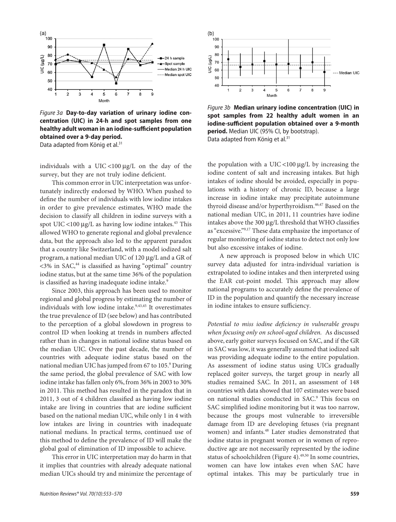

Figure 3a **Day-to-day variation of urinary iodine concentration (UIC) in 24-h and spot samples from one healthy adult woman in an iodine-sufficient population obtained over a 9-day period.** Data adapted from König et al.<sup>31</sup>

individuals with a UIC <100  $\mu$ g/L on the day of the survey, but they are not truly iodine deficient.

This common error in UIC interpretation was unfortunately indirectly endorsed by WHO. When pushed to define the number of individuals with low iodine intakes in order to give prevalence estimates, WHO made the decision to classify all children in iodine surveys with a spot UIC <100  $\mu$ g/L as having low iodine intakes.<sup>43</sup> This allowed WHO to generate regional and global prevalence data, but the approach also led to the apparent paradox that a country like Switzerland, with a model iodized salt program, a national median UIC of 120 µg/L and a GR of  $\langle 3\%$  in SAC,<sup>44</sup> is classified as having "optimal" country iodine status, but at the same time 36% of the population is classified as having inadequate iodine intake.<sup>9</sup>

Since 2003, this approach has been used to monitor regional and global progress by estimating the number of individuals with low iodine intake.<sup>9,43,45</sup> It overestimates the true prevalence of ID (see below) and has contributed to the perception of a global slowdown in progress to control ID when looking at trends in numbers affected rather than in changes in national iodine status based on the median UIC. Over the past decade, the number of countries with adequate iodine status based on the national median UIC has jumped from 67 to 105.<sup>9</sup> During the same period, the global prevalence of SAC with low iodine intake has fallen only 6%, from 36% in 2003 to 30% in 2011. This method has resulted in the paradox that in 2011, 3 out of 4 children classified as having low iodine intake are living in countries that are iodine sufficient based on the national median UIC, while only 1 in 4 with low intakes are living in countries with inadequate national medians. In practical terms, continued use of this method to define the prevalence of ID will make the global goal of elimination of ID impossible to achieve.

This error in UIC interpretation may do harm in that it implies that countries with already adequate national median UICs should try and minimize the percentage of



Figure 3b **Median urinary iodine concentration (UIC) in spot samples from 22 healthy adult women in an iodine-sufficient population obtained over a 9-month period.** Median UIC (95% CI, by bootstrap). Data adapted from König et al.<sup>31</sup>

the population with a UIC <100  $\mu$ g/L by increasing the iodine content of salt and increasing intakes. But high intakes of iodine should be avoided, especially in populations with a history of chronic ID, because a large increase in iodine intake may precipitate autoimmune thyroid disease and/or hyperthyroidism.46,47 Based on the national median UIC, in 2011, 11 countries have iodine intakes above the 300  $\mu$ g/L threshold that WHO classifies as "excessive."9,17 These data emphasize the importance of regular monitoring of iodine status to detect not only low but also excessive intakes of iodine.

A new approach is proposed below in which UIC survey data adjusted for intra-individual variation is extrapolated to iodine intakes and then interpreted using the EAR cut-point model. This approach may allow national programs to accurately define the prevalence of ID in the population and quantify the necessary increase in iodine intakes to ensure sufficiency.

*Potential to miss iodine deficiency in vulnerable groups when focusing only on school-aged children.* As discussed above, early goiter surveys focused on SAC, and if the GR in SAC was low, it was generally assumed that iodized salt was providing adequate iodine to the entire population. As assessment of iodine status using UICs gradually replaced goiter surveys, the target group in nearly all studies remained SAC. In 2011, an assessment of 148 countries with data showed that 107 estimates were based on national studies conducted in SAC.9 This focus on SAC simplified iodine monitoring but it was too narrow, because the groups most vulnerable to irreversible damage from ID are developing fetuses (via pregnant women) and infants.<sup>48</sup> Later studies demonstrated that iodine status in pregnant women or in women of reproductive age are not necessarily represented by the iodine status of schoolchildren (Figure 4).<sup>49,50</sup> In some countries, women can have low intakes even when SAC have optimal intakes. This may be particularly true in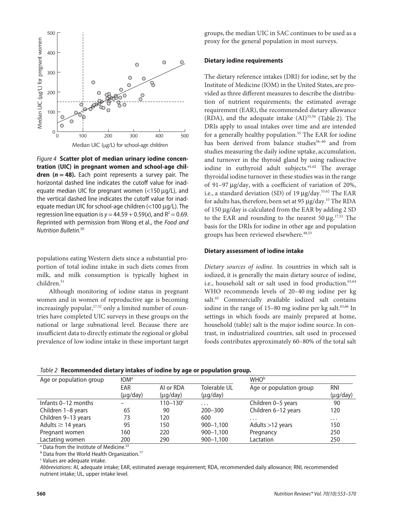

Figure 4 **Scatter plot of median urinary iodine concentration (UIC) in pregnant women and school-age children (n** = **48).** Each point represents a survey pair. The horizontal dashed line indicates the cutoff value for inadequate median UIC for pregnant women  $\left\langle \langle 150 \mu g/L \rangle \right\rangle$  and the vertical dashed line indicates the cutoff value for inadequate median UIC for school-age children  $(<$ 100  $\mu$ g/L). The regression line equation is  $y = 44.59 + 0.59(x)$ , and  $R^2 = 0.69$ . Reprinted with permission from Wong et al., the Food and Nutrition Bulletin.<sup>50</sup>

populations eating Western diets since a substantial proportion of total iodine intake in such diets comes from milk, and milk consumption is typically highest in children.<sup>51</sup>

Although monitoring of iodine status in pregnant women and in women of reproductive age is becoming increasingly popular, $17,52$  only a limited number of countries have completed UIC surveys in these groups on the national or large subnational level. Because there are insufficient data to directly estimate the regional or global prevalence of low iodine intake in these important target groups, the median UIC in SAC continues to be used as a proxy for the general population in most surveys.

#### **Dietary iodine requirements**

The dietary reference intakes (DRI) for iodine, set by the Institute of Medicine (IOM) in the United States, are provided as three different measures to describe the distribution of nutrient requirements; the estimated average requirement (EAR), the recommended dietary allowance (RDA), and the adequate intake (AI)53,54 (Table 2). The DRIs apply to usual intakes over time and are intended for a generally healthy population.<sup>55</sup> The EAR for iodine has been derived from balance studies<sup>56-60</sup> and from studies measuring the daily iodine uptake, accumulation, and turnover in the thyroid gland by using radioactive iodine in euthyroid adult subjects.<sup>61,62</sup> The average thyroidal iodine turnover in these studies was in the range of 91-97  $\mu$ g/day, with a coefficient of variation of 20%, i.e., a standard deviation (SD) of 19 µg/day.<sup>53,62</sup> The EAR for adults has, therefore, been set at 95 µg/day.<sup>53</sup> The RDA of 150 mg/day is calculated from the EAR by adding 2 SD to the EAR and rounding to the nearest  $50 \mu g$ .<sup>17,53</sup> The basis for the DRIs for iodine in other age and population groups has been reviewed elsewhere.<sup>48,53</sup>

#### **Dietary assessment of iodine intake**

*Dietary sources of iodine.* In countries in which salt is iodized, it is generally the main dietary source of iodine, i.e., household salt or salt used in food production.<sup>63,64</sup> WHO recommends levels of 20–40 mg iodine per kg salt.<sup>65</sup> Commercially available iodized salt contains iodine in the range of  $15-80$  mg iodine per kg salt.<sup>63,66</sup> In settings in which foods are mainly prepared at home, household (table) salt is the major iodine source. In contrast, in industrialized countries, salt used in processed foods contributes approximately 60–80% of the total salt

| Table 2 Recommended dietary intakes of iodine by age or population group. |  |  |
|---------------------------------------------------------------------------|--|--|
|                                                                           |  |  |

| Age or population group | IOM <sup>a</sup> |                          |                 | <b>WHO</b> <sup>b</sup> |                 |
|-------------------------|------------------|--------------------------|-----------------|-------------------------|-----------------|
|                         | EAR              | AI or RDA                | Tolerable UI    | Age or population group | RNI             |
|                         | (µg/day)         | $(\mu g / day)$          | $(\mu g / day)$ |                         | $(\mu g / day)$ |
| Infants 0–12 months     |                  | $110 - 130$ <sup>c</sup> | $\cdots$        | Children 0-5 years      | 90              |
| Children 1-8 years      | 65               | 90                       | $200 - 300$     | Children 6-12 years     | 120             |
| Children 9-13 years     | 73               | 120                      | 600             | $\cdot$ $\cdot$ $\cdot$ | $\cdots$        |
| Adults $\geq$ 14 years  | 95               | 150                      | $900 - 1.100$   | Adults >12 years        | 150             |
| Pregnant women          | 160              | 220                      | $900 - 1,100$   | Pregnancy               | 250             |
| Lactating women         | 200              | 290                      | $900 - 1,100$   | Lactation               | 250             |

<sup>a</sup> Data from the Institute of Medicine.<sup>53</sup>

**b** Data from the World Health Organization.<sup>17</sup>

<sup>c</sup> Values are adequate intake.

Abbreviations: AI, adequate intake; EAR, estimated average requirement; RDA, recommended daily allowance; RNI, recommended nutrient intake; UL, upper intake level.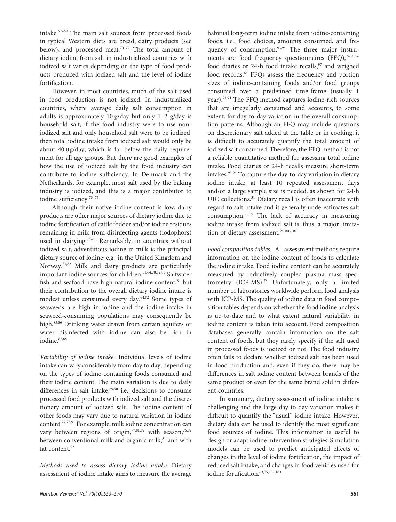intake.67–69 The main salt sources from processed foods in typical Western diets are bread, dairy products (see below), and processed meat.<sup>70-72</sup> The total amount of dietary iodine from salt in industrialized countries with iodized salt varies depending on the type of food products produced with iodized salt and the level of iodine fortification.

However, in most countries, much of the salt used in food production is not iodized. In industrialized countries, where average daily salt consumption in adults is approximately 10 g/day but only 1–2 g/day is household salt, if the food industry were to use noniodized salt and only household salt were to be iodized, then total iodine intake from iodized salt would only be about 40  $\mu$ g/day, which is far below the daily requirement for all age groups. But there are good examples of how the use of iodized salt by the food industry can contribute to iodine sufficiency. In Denmark and the Netherlands, for example, most salt used by the baking industry is iodized, and this is a major contributor to iodine sufficiency.73–75

Although their native iodine content is low, dairy products are other major sources of dietary iodine due to iodine fortification of cattle fodder and/or iodine residues remaining in milk from disinfecting agents (iodophors) used in dairying.<sup>76-80</sup> Remarkably, in countries without iodized salt, adventitious iodine in milk is the principal dietary source of iodine; e.g., in the United Kingdom and Norway.81,82 Milk and dairy products are particularly important iodine sources for children.<sup>51,64,78,82,83</sup> Saltwater fish and seafood have high natural iodine content,<sup>84</sup> but their contribution to the overall dietary iodine intake is modest unless consumed every day.64,82 Some types of seaweeds are high in iodine and the iodine intake in seaweed-consuming populations may consequently be high.85,86 Drinking water drawn from certain aquifers or water disinfected with iodine can also be rich in iodine. 87,88

*Variability of iodine intake.* Individual levels of iodine intake can vary considerably from day to day, depending on the types of iodine-containing foods consumed and their iodine content. The main variation is due to daily differences in salt intake, 89,90 i.e., decisions to consume processed food products with iodized salt and the discretionary amount of iodized salt. The iodine content of other foods may vary due to natural variation in iodine content.77,78,91 For example, milk iodine concentration can vary between regions of origin,<sup>77,81,92</sup> with season,<sup>76,92</sup> between conventional milk and organic milk,<sup>81</sup> and with fat content.<sup>92</sup>

*Methods used to assess dietary iodine intake.* Dietary assessment of iodine intake aims to measure the average habitual long-term iodine intake from iodine-containing foods, i.e., food choices, amounts consumed, and frequency of consumption.<sup>93,94</sup> The three major instruments are food frequency questionnaires (FFQ),<sup>74,95,96</sup> food diaries or 24-h food intake recalls,<sup>97</sup> and weighed food records.64 FFQs assess the frequency and portion sizes of iodine-containing foods and/or food groups consumed over a predefined time-frame (usually 1 year).<sup>93,94</sup> The FFQ method captures iodine-rich sources that are irregularly consumed and accounts, to some extent, for day-to-day variation in the overall consumption patterns. Although an FFQ may include questions on discretionary salt added at the table or in cooking, it is difficult to accurately quantify the total amount of iodized salt consumed. Therefore, the FFQ method is not a reliable quantitative method for assessing total iodine intake. Food diaries or 24-h recalls measure short-term intakes.<sup>93,94</sup> To capture the day-to-day variation in dietary iodine intake, at least 10 repeated assessment days and/or a large sample size is needed, as shown for 24-h UIC collections.31 Dietary recall is often inaccurate with regard to salt intake and it generally underestimates salt consumption.98,99 The lack of accuracy in measuring iodine intake from iodized salt is, thus, a major limitation of dietary assessment.<sup>95,100,101</sup>

*Food composition tables.* All assessment methods require information on the iodine content of foods to calculate the iodine intake. Food iodine content can be accurately measured by inductively coupled plasma mass spectrometry (ICP-MS).78 Unfortunately, only a limited number of laboratories worldwide perform food analysis with ICP-MS. The quality of iodine data in food composition tables depends on whether the food iodine analysis is up-to-date and to what extent natural variability in iodine content is taken into account. Food composition databases generally contain information on the salt content of foods, but they rarely specify if the salt used in processed foods is iodized or not. The food industry often fails to declare whether iodized salt has been used in food production and, even if they do, there may be differences in salt iodine content between brands of the same product or even for the same brand sold in different countries.

In summary, dietary assessment of iodine intake is challenging and the large day-to-day variation makes it difficult to quantify the "usual" iodine intake. However, dietary data can be used to identify the most significant food sources of iodine. This information is useful to design or adapt iodine intervention strategies. Simulation models can be used to predict anticipated effects of changes in the level of iodine fortification, the impact of reduced salt intake, and changes in food vehicles used for iodine fortification.<sup>63,75,102,103</sup>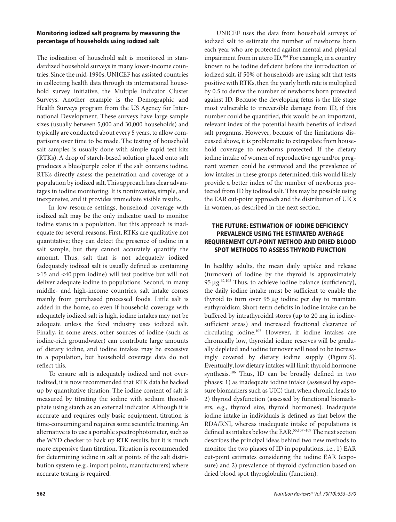## **Monitoring iodized salt programs by measuring the percentage of households using iodized salt**

The iodization of household salt is monitored in standardized household surveys in many lower-income countries. Since the mid-1990s, UNICEF has assisted countries in collecting health data through its international household survey initiative, the Multiple Indicator Cluster Surveys. Another example is the Demographic and Health Surveys program from the US Agency for International Development. These surveys have large sample sizes (usually between 5,000 and 30,000 households) and typically are conducted about every 5 years, to allow comparisons over time to be made. The testing of household salt samples is usually done with simple rapid test kits (RTKs). A drop of starch-based solution placed onto salt produces a blue/purple color if the salt contains iodine. RTKs directly assess the penetration and coverage of a population by iodized salt. This approach has clear advantages in iodine monitoring. It is noninvasive, simple, and inexpensive, and it provides immediate visible results.

In low-resource settings, household coverage with iodized salt may be the only indicator used to monitor iodine status in a population. But this approach is inadequate for several reasons. First, RTKs are qualitative not quantitative; they can detect the presence of iodine in a salt sample, but they cannot accurately quantify the amount. Thus, salt that is not adequately iodized (adequately iodized salt is usually defined as containing >15 and <40 ppm iodine) will test positive but will not deliver adequate iodine to populations. Second, in many middle- and high-income countries, salt intake comes mainly from purchased processed foods. Little salt is added in the home, so even if household coverage with adequately iodized salt is high, iodine intakes may not be adequate unless the food industry uses iodized salt. Finally, in some areas, other sources of iodine (such as iodine-rich groundwater) can contribute large amounts of dietary iodine, and iodine intakes may be excessive in a population, but household coverage data do not reflect this.

To ensure salt is adequately iodized and not overiodized, it is now recommended that RTK data be backed up by quantitative titration. The iodine content of salt is measured by titrating the iodine with sodium thiosulphate using starch as an external indicator. Although it is accurate and requires only basic equipment, titration is time-consuming and requires some scientific training.An alternative is to use a portable spectrophotometer, such as the WYD checker to back up RTK results, but it is much more expensive than titration. Titration is recommended for determining iodine in salt at points of the salt distribution system (e.g., import points, manufacturers) where accurate testing is required.

UNICEF uses the data from household surveys of iodized salt to estimate the number of newborns born each year who are protected against mental and physical impairment from in utero ID.<sup>104</sup> For example, in a country known to be iodine deficient before the introduction of iodized salt, if 50% of households are using salt that tests positive with RTKs, then the yearly birth rate is multiplied by 0.5 to derive the number of newborns born protected against ID. Because the developing fetus is the life stage most vulnerable to irreversible damage from ID, if this number could be quantified, this would be an important, relevant index of the potential health benefits of iodized salt programs. However, because of the limitations discussed above, it is problematic to extrapolate from household coverage to newborns protected. If the dietary iodine intake of women of reproductive age and/or pregnant women could be estimated and the prevalence of low intakes in these groups determined, this would likely provide a better index of the number of newborns protected from ID by iodized salt. This may be possible using the EAR cut-point approach and the distribution of UICs in women, as described in the next section.

## **THE FUTURE: ESTIMATION OF IODINE DEFICIENCY PREVALENCE USING THE ESTIMATED AVERAGE REQUIREMENT CUT-POINT METHOD AND DRIED BLOOD SPOT METHODS TO ASSESS THYROID FUNCTION**

In healthy adults, the mean daily uptake and release (turnover) of iodine by the thyroid is approximately 95  $\mu$ g.<sup>62,105</sup> Thus, to achieve iodine balance (sufficiency), the daily iodine intake must be sufficient to enable the thyroid to turn over  $95 \mu$ g iodine per day to maintain euthyroidism. Short-term deficits in iodine intake can be buffered by intrathyroidal stores (up to 20 mg in iodinesufficient areas) and increased fractional clearance of circulating iodine.105 However, if iodine intakes are chronically low, thyroidal iodine reserves will be gradually depleted and iodine turnover will need to be increasingly covered by dietary iodine supply (Figure 5). Eventually, low dietary intakes will limit thyroid hormone synthesis.<sup>106</sup> Thus, ID can be broadly defined in two phases: 1) as inadequate iodine intake (assessed by exposure biomarkers such as UIC) that, when chronic, leads to 2) thyroid dysfunction (assessed by functional biomarkers, e.g., thyroid size, thyroid hormones). Inadequate iodine intake in individuals is defined as that below the RDA/RNI, whereas inadequate intake of populations is defined as intakes below the EAR.<sup>55,107-109</sup> The next section describes the principal ideas behind two new methods to monitor the two phases of ID in populations, i.e., 1) EAR cut-point estimates considering the iodine EAR (exposure) and 2) prevalence of thyroid dysfunction based on dried blood spot thyroglobulin (function).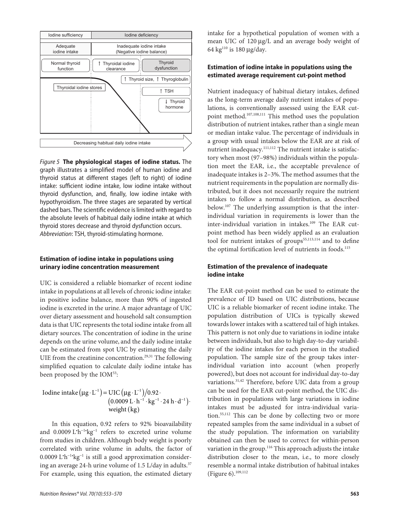

Figure 5 **The physiological stages of iodine status.** The graph illustrates a simplified model of human iodine and thyroid status at different stages (left to right) of iodine intake: sufficient iodine intake, low iodine intake without thyroid dysfunction, and, finally, low iodine intake with hypothyroidism. The three stages are separated by vertical dashed bars. The scientific evidence is limited with regard to the absolute levels of habitual daily iodine intake at which thyroid stores decrease and thyroid dysfunction occurs. Abbreviation: TSH, thyroid-stimulating hormone.

## **Estimation of iodine intake in populations using urinary iodine concentration measurement**

UIC is considered a reliable biomarker of recent iodine intake in populations at all levels of chronic iodine intake: in positive iodine balance, more than 90% of ingested iodine is excreted in the urine. A major advantage of UIC over dietary assessment and household salt consumption data is that UIC represents the total iodine intake from all dietary sources. The concentration of iodine in the urine depends on the urine volume, and the daily iodine intake can be estimated from spot UIC by estimating the daily UIE from the creatinine concentration.29,31 The following simplified equation to calculate daily iodine intake has been proposed by the IOM<sup>53</sup>:

Iodine intake  $(\mu g \cdot L^{-1})$  = UIC  $(\mu g \cdot L)$  $\mathrm{L}\cdot\mathrm{h}^{-\mathrm{l}}\cdot\mathrm{kg}^{-\mathrm{l}}\cdot24\:\mathrm{h}$  $(\mu g \cdot L^{-1}) = \text{UIC} (\mu g \cdot L^{-1})/0.92$  ·  $\cdot \mathrm{h}^{-1} \cdot \mathrm{kg}^{-1} \cdot$  $^{-1}$ ) –  $\overline{\text{LHC}}$  ( $\overline{\text{L}}$   $\overline{\text{L}}$   $\overline{\text{L}}$  $-1$   $1.0$  $1$   $\frac{1}{2}$   $\frac{1}{2}$   $\frac{1}{2}$   $\frac{1}{2}$   $\frac{1}{2}$   $\frac{1}{2}$  $)/0.92$ <br> $1.1<sup>-1</sup>$  $0.0009\,\mathrm{L}\cdot\mathrm{h}^{-\mathrm{l}}\cdot\mathrm{kg}^{-\mathrm{l}}\cdot24$ .  $( 0.0009 \, \mathrm{L} \cdot \mathrm{h}^{-1} \cdot \mathrm{kg}^{-1} \cdot 24 \, \mathrm{h} \cdot \mathrm{d}^{-1} ) \cdot$ weight (kg)

In this equation, 0.92 refers to 92% bioavailability and 0.0009 L'h<sup>-1</sup>'kg<sup>-1</sup> refers to excreted urine volume from studies in children. Although body weight is poorly correlated with urine volume in adults, the factor of 0.0009 L'h<sup>-1</sup>'kg<sup>-1</sup> is still a good approximation considering an average 24-h urine volume of 1.5 L/day in adults.<sup>37</sup> For example, using this equation, the estimated dietary intake for a hypothetical population of women with a mean UIC of 120 µg/L and an average body weight of 64 kg<sup>110</sup> is 180 µg/day.

## **Estimation of iodine intake in populations using the estimated average requirement cut-point method**

Nutrient inadequacy of habitual dietary intakes, defined as the long-term average daily nutrient intakes of populations, is conventionally assessed using the EAR cutpoint method.107,108,111 This method uses the population distribution of nutrient intakes, rather than a single mean or median intake value. The percentage of individuals in a group with usual intakes below the EAR are at risk of nutrient inadequacy.<sup>111,112</sup> The nutrient intake is satisfactory when most (97–98%) individuals within the population meet the EAR, i.e., the acceptable prevalence of inadequate intakes is 2–3%. The method assumes that the nutrient requirements in the population are normally distributed, but it does not necessarily require the nutrient intakes to follow a normal distribution, as described below.107 The underlying assumption is that the interindividual variation in requirements is lower than the inter-individual variation in intakes.109 The EAR cutpoint method has been widely applied as an evaluation tool for nutrient intakes of groups $55,113,114$  and to define the optimal fortification level of nutrients in foods.<sup>115</sup>

## **Estimation of the prevalence of inadequate iodine intake**

The EAR cut-point method can be used to estimate the prevalence of ID based on UIC distributions, because UIC is a reliable biomarker of recent iodine intake. The population distribution of UICs is typically skewed towards lower intakes with a scattered tail of high intakes. This pattern is not only due to variations in iodine intake between individuals, but also to high day-to-day variability of the iodine intakes for each person in the studied population. The sample size of the group takes interindividual variation into account (when properly powered), but does not account for individual day-to-day variations.31,42 Therefore, before UIC data from a group can be used for the EAR cut-point method, the UIC distribution in populations with large variations in iodine intakes must be adjusted for intra-individual variation.55,112 This can be done by collecting two or more repeated samples from the same individual in a subset of the study population. The information on variability obtained can then be used to correct for within-person variation in the group.<sup>116</sup> This approach adjusts the intake distribution closer to the mean, i.e., to more closely resemble a normal intake distribution of habitual intakes (Figure 6).<sup>109,112</sup>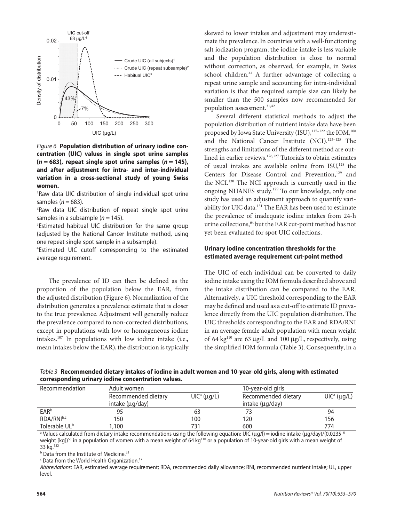

Figure 6 **Population distribution of urinary iodine concentration (UIC) values in single spot urine samples**  $(n = 683)$ , repeat single spot urine samples  $(n = 145)$ , **and after adjustment for intra- and inter-individual variation in a cross-sectional study of young Swiss women.**

<sup>1</sup>Raw data UIC distribution of single individual spot urine samples  $(n = 683)$ .

2 Raw data UIC distribution of repeat single spot urine samples in a subsample ( $n = 145$ ).

3 Estimated habitual UIC distribution for the same group (adjusted by the National Cancer Institute method, using one repeat single spot sample in a subsample).

4 Estimated UIC cutoff corresponding to the estimated average requirement.

The prevalence of ID can then be defined as the proportion of the population below the EAR, from the adjusted distribution (Figure 6). Normalization of the distribution generates a prevalence estimate that is closer to the true prevalence. Adjustment will generally reduce the prevalence compared to non-corrected distributions, except in populations with low or homogeneous iodine intakes.<sup>107</sup> In populations with low iodine intake (i.e., mean intakes below the EAR), the distribution is typically

skewed to lower intakes and adjustment may underestimate the prevalence. In countries with a well-functioning salt iodization program, the iodine intake is less variable and the population distribution is close to normal without correction, as observed, for example, in Swiss school children.<sup>44</sup> A further advantage of collecting a repeat urine sample and accounting for intra-individual variation is that the required sample size can likely be smaller than the 500 samples now recommended for population assessment.<sup>31,42</sup>

Several different statistical methods to adjust the population distribution of nutrient intake data have been proposed by Iowa State University (ISU), 117-122 the IOM, 108 and the National Cancer Institute (NCI).<sup>123-125</sup> The strengths and limitations of the different method are outlined in earlier reviews.<sup>126,127</sup> Tutorials to obtain estimates of usual intakes are available online from ISU,<sup>128</sup> the Centers for Disease Control and Prevention,<sup>129</sup> and the NCI.130 The NCI approach is currently used in the ongoing NHANES study.<sup>129</sup> To our knowledge, only one study has used an adjustment approach to quantify variability for UIC data.<sup>131</sup> The EAR has been used to estimate the prevalence of inadequate iodine intakes from 24-h urine collections,<sup>64</sup> but the EAR cut-point method has not yet been evaluated for spot UIC collections.

#### **Urinary iodine concentration thresholds for the estimated average requirement cut-point method**

The UIC of each individual can be converted to daily iodine intake using the IOM formula described above and the intake distribution can be compared to the EAR. Alternatively, a UIC threshold corresponding to the EAR may be defined and used as a cut-off to estimate ID prevalence directly from the UIC population distribution. The UIC thresholds corresponding to the EAR and RDA/RNI in an average female adult population with mean weight of 64 kg<sup>110</sup> are 63 µg/L and 100 µg/L, respectively, using the simplified IOM formula (Table 3). Consequently, in a

Table 3 **Recommended dietary intakes of iodine in adult women and 10-year-old girls, along with estimated corresponding urinary iodine concentration values.**

| Recommendation            | Adult women                                   |                         | 10-year-old girls                             |                         |  |
|---------------------------|-----------------------------------------------|-------------------------|-----------------------------------------------|-------------------------|--|
|                           | Recommended dietary<br>intake $(\mu q / day)$ | UIC <sup>a</sup> (µq/L) | Recommended dietary<br>intake $(\mu q / day)$ | UIC <sup>a</sup> (µq/L) |  |
| <b>EAR</b> <sup>b</sup>   |                                               | 63                      |                                               | 94                      |  |
| RDA/RNIb,c                | 150                                           | 100                     | 120                                           | 156                     |  |
| Tolerable UL <sup>b</sup> | 1.100                                         | 731                     | 600                                           | 774                     |  |

<sup>a</sup> Values calculated from dietary intake recommendations using the following equation: UIC (µg/l) = iodine intake (µg/day)/(0.0235 \* weight [kg])<sup>53</sup> in a population of women with a mean weight of 64 kg<sup>110</sup> or a population of 10-year-old girls with a mean weight of 33 kg.<sup>132</sup>

**b** Data from the Institute of Medicine.<sup>53</sup>

<sup>c</sup> Data from the World Health Organization.17

Abbreviations: EAR, estimated average requirement; RDA, recommended daily allowance; RNI, recommended nutrient intake; UL, upper level.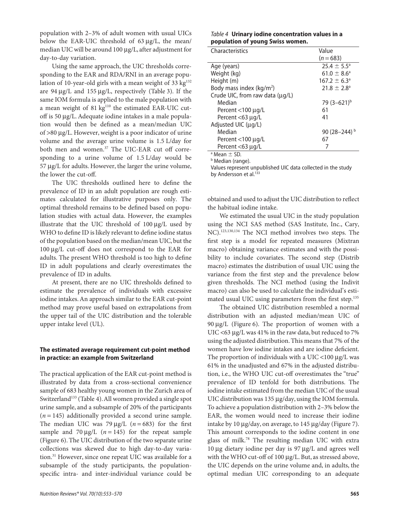population with 2–3% of adult women with usual UICs below the EAR-UIC threshold of  $63 \mu g/L$ , the mean/ median UIC will be around 100 µg/L, after adjustment for day-to-day variation.

Using the same approach, the UIC thresholds corresponding to the EAR and RDA/RNI in an average population of 10-year-old girls with a mean weight of 33  $kg<sup>132</sup>$ are  $94 \mu g/L$  and  $155 \mu g/L$ , respectively (Table 3). If the same IOM formula is applied to the male population with a mean weight of 81 kg<sup>110</sup> the estimated EAR-UIC cutoff is 50  $\mu$ g/L. Adequate iodine intakes in a male population would then be defined as a mean/median UIC of >80 mg/L. However, weight is a poor indicator of urine volume and the average urine volume is 1.5 L/day for both men and women.<sup>37</sup> The UIC-EAR cut off corresponding to a urine volume of 1.5 L/day would be  $57 \mu g/L$  for adults. However, the larger the urine volume, the lower the cut-off.

The UIC thresholds outlined here to define the prevalence of ID in an adult population are rough estimates calculated for illustrative purposes only. The optimal threshold remains to be defined based on population studies with actual data. However, the examples illustrate that the UIC threshold of  $100 \mu g/L$  used by WHO to define ID is likely relevant to define iodine status of the population based on the median/mean UIC, but the 100 mg/L cut-off does not correspond to the EAR for adults. The present WHO threshold is too high to define ID in adult populations and clearly overestimates the prevalence of ID in adults.

At present, there are no UIC thresholds defined to estimate the prevalence of individuals with excessive iodine intakes. An approach similar to the EAR cut-point method may prove useful based on extrapolations from the upper tail of the UIC distribution and the tolerable upper intake level (UL).

## **The estimated average requirement cut-point method in practice: an example from Switzerland**

The practical application of the EAR cut-point method is illustrated by data from a cross-sectional convenience sample of 683 healthy young women in the Zurich area of Switzerland<sup>133</sup> (Table 4). All women provided a single spot urine sample, and a subsample of 20% of the participants  $(n = 145)$  additionally provided a second urine sample. The median UIC was  $79 \mu g/L$  ( $n = 683$ ) for the first sample and  $70 \mu g/L$  ( $n = 145$ ) for the repeat sample (Figure 6). The UIC distribution of the two separate urine collections was skewed due to high day-to-day variation.31 However, since one repeat UIC was available for a subsample of the study participants, the populationspecific intra- and inter-individual variance could be

#### Table 4 **Urinary iodine concentration values in a population of young Swiss women.**

| Characteristics                 | Value                        |
|---------------------------------|------------------------------|
|                                 | $(n = 683)$                  |
| Age (years)                     | $25.4 + 5.5^{\circ}$         |
| Weight (kg)                     | $61.0 \pm 8.6^{\circ}$       |
| Height (m)                      | $167.2 \pm 6.3^{\circ}$      |
| Body mass index ( $kg/m2$ )     | $71.8 + 7.8$ <sup>a</sup>    |
| Crude UIC, from raw data (µg/L) |                              |
| Median                          | 79 $(3-621)^{b}$             |
| Percent <100 µg/L               | 61                           |
| Percent <63 µg/L                | 41                           |
| Adjusted UIC (µg/L)             |                              |
| Median                          | 90 $(28 - 244)$ <sup>b</sup> |
| Percent <100 µg/L               | 67                           |
| Percent <63 µg/L                |                              |

 $a$  Mean  $\pm$  SD.

**b** Median (range).

Values represent unpublished UIC data collected in the study by Andersson et al.<sup>133</sup>

obtained and used to adjust the UIC distribution to reflect the habitual iodine intake.

We estimated the usual UIC in the study population using the NCI SAS method (SAS Institute, Inc., Cary, NC).123,130,134 The NCI method involves two steps. The first step is a model for repeated measures (Mixtran macro) obtaining variance estimates and with the possibility to include covariates. The second step (Distrib macro) estimates the distribution of usual UIC using the variance from the first step and the prevalence below given thresholds. The NCI method (using the Indivit macro) can also be used to calculate the individual's estimated usual UIC using parameters from the first step.<sup>135</sup>

The obtained UIC distribution resembled a normal distribution with an adjusted median/mean UIC of 90 mg/L (Figure 6). The proportion of women with a UIC <63  $\mu$ g/L was 41% in the raw data, but reduced to 7% using the adjusted distribution. This means that 7% of the women have low iodine intakes and are iodine deficient. The proportion of individuals with a UIC <100  $\mu$ g/L was 61% in the unadjusted and 67% in the adjusted distribution, i.e., the WHO UIC cut-off overestimates the "true" prevalence of ID tenfold for both distributions. The iodine intake estimated from the median UIC of the usual UIC distribution was 135 µg/day, using the IOM formula. To achieve a population distribution with 2–3% below the EAR, the women would need to increase their iodine intake by 10  $\mu$ g/day, on average, to 145  $\mu$ g/day (Figure 7). This amount corresponds to the iodine content in one glass of milk.78 The resulting median UIC with extra 10  $\mu$ g dietary iodine per day is 97  $\mu$ g/L and agrees well with the WHO cut-off of 100 µg/L. But, as stressed above, the UIC depends on the urine volume and, in adults, the optimal median UIC corresponding to an adequate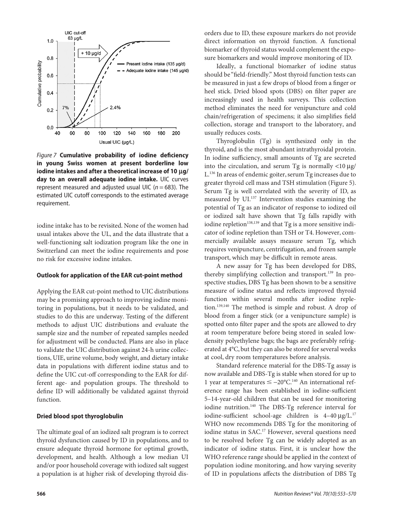

Figure 7 **Cumulative probability of iodine deficiency in young Swiss women at present borderline low** iodine intakes and after a theoretical increase of 10  $\mu$ g/ **day to an overall adequate iodine intake.** UIC curves represent measured and adjusted usual UIC ( $n = 683$ ). The estimated UIC cutoff corresponds to the estimated average requirement.

iodine intake has to be revisited. None of the women had usual intakes above the UL, and the data illustrate that a well-functioning salt iodization program like the one in Switzerland can meet the iodine requirements and pose no risk for excessive iodine intakes.

#### **Outlook for application of the EAR cut-point method**

Applying the EAR cut-point method to UIC distributions may be a promising approach to improving iodine monitoring in populations, but it needs to be validated, and studies to do this are underway. Testing of the different methods to adjust UIC distributions and evaluate the sample size and the number of repeated samples needed for adjustment will be conducted. Plans are also in place to validate the UIC distribution against 24-h urine collections, UIE, urine volume, body weight, and dietary intake data in populations with different iodine status and to define the UIC cut-off corresponding to the EAR for different age- and population groups. The threshold to define ID will additionally be validated against thyroid function.

#### **Dried blood spot thyroglobulin**

The ultimate goal of an iodized salt program is to correct thyroid dysfunction caused by ID in populations, and to ensure adequate thyroid hormone for optimal growth, development, and health. Although a low median UI and/or poor household coverage with iodized salt suggest a population is at higher risk of developing thyroid disorders due to ID, these exposure markers do not provide direct information on thyroid function. A functional biomarker of thyroid status would complement the exposure biomarkers and would improve monitoring of ID.

Ideally, a functional biomarker of iodine status should be "field-friendly." Most thyroid function tests can be measured in just a few drops of blood from a finger or heel stick. Dried blood spots (DBS) on filter paper are increasingly used in health surveys. This collection method eliminates the need for venipuncture and cold chain/refrigeration of specimens; it also simplifies field collection, storage and transport to the laboratory, and usually reduces costs.

Thyroglobulin (Tg) is synthesized only in the thyroid, and is the most abundant intrathyroidal protein. In iodine sufficiency, small amounts of Tg are secreted into the circulation, and serum Tg is normally  $\langle 10 \mu g /$ L.<sup>136</sup> In areas of endemic goiter, serum Tg increases due to greater thyroid cell mass and TSH stimulation (Figure 5). Serum Tg is well correlated with the severity of ID, as measured by UI.<sup>137</sup> Intervention studies examining the potential of Tg as an indicator of response to iodized oil or iodized salt have shown that Tg falls rapidly with iodine repletion $138,139$  and that Tg is a more sensitive indicator of iodine repletion than TSH or T4. However, commercially available assays measure serum Tg, which requires venipuncture, centrifugation, and frozen sample transport, which may be difficult in remote areas.

A new assay for Tg has been developed for DBS, thereby simplifying collection and transport.<sup>139</sup> In prospective studies, DBS Tg has been shown to be a sensitive measure of iodine status and reflects improved thyroid function within several months after iodine repletion.139,140 The method is simple and robust. A drop of blood from a finger stick (or a venipuncture sample) is spotted onto filter paper and the spots are allowed to dry at room temperature before being stored in sealed lowdensity polyethylene bags; the bags are preferably refrigerated at 4°C, but they can also be stored for several weeks at cool, dry room temperatures before analysis.

Standard reference material for the DBS-Tg assay is now available and DBS-Tg is stable when stored for up to 1 year at temperatures  $\leq -20^{\circ}C^{140}$  An international reference range has been established in iodine-sufficient 5–14-year-old children that can be used for monitoring iodine nutrition.<sup>140</sup> The DBS-Tg reference interval for iodine-sufficient school-age children is  $4-40 \mu g/L$ .<sup>17</sup> WHO now recommends DBS Tg for the monitoring of iodine status in SAC.<sup>17</sup> However, several questions need to be resolved before Tg can be widely adopted as an indicator of iodine status. First, it is unclear how the WHO reference range should be applied in the context of population iodine monitoring, and how varying severity of ID in populations affects the distribution of DBS Tg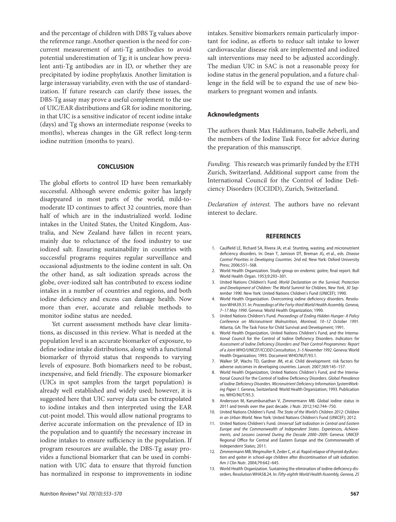and the percentage of children with DBS Tg values above the reference range.Another question is the need for concurrent measurement of anti-Tg antibodies to avoid potential underestimation of Tg; it is unclear how prevalent anti-Tg antibodies are in ID, or whether they are precipitated by iodine prophylaxis. Another limitation is large interassay variability, even with the use of standardization. If future research can clarify these issues, the DBS-Tg assay may prove a useful complement to the use of UIC/EAR distributions and GR for iodine monitoring, in that UIC is a sensitive indicator of recent iodine intake (days) and Tg shows an intermediate response (weeks to months), whereas changes in the GR reflect long-term iodine nutrition (months to years).

#### **CONCLUSION**

The global efforts to control ID have been remarkably successful. Although severe endemic goiter has largely disappeared in most parts of the world, mild-tomoderate ID continues to affect 32 countries, more than half of which are in the industrialized world. Iodine intakes in the United States, the United Kingdom, Australia, and New Zealand have fallen in recent years, mainly due to reluctance of the food industry to use iodized salt. Ensuring sustainability in countries with successful programs requires regular surveillance and occasional adjustments to the iodine content in salt. On the other hand, as salt iodization spreads across the globe, over-iodized salt has contributed to excess iodine intakes in a number of countries and regions, and both iodine deficiency and excess can damage health. Now more than ever, accurate and reliable methods to monitor iodine status are needed.

Yet current assessment methods have clear limitations, as discussed in this review. What is needed at the population level is an accurate biomarker of exposure, to define iodine intake distributions, along with a functional biomarker of thyroid status that responds to varying levels of exposure. Both biomarkers need to be robust, inexpensive, and field friendly. The exposure biomarker (UICs in spot samples from the target population) is already well established and widely used; however, it is suggested here that UIC survey data can be extrapolated to iodine intakes and then interpreted using the EAR cut-point model. This would allow national programs to derive accurate information on the prevalence of ID in the population and to quantify the necessary increase in iodine intakes to ensure sufficiency in the population. If program resources are available, the DBS-Tg assay provides a functional biomarker that can be used in combination with UIC data to ensure that thyroid function has normalized in response to improvements in iodine

intakes. Sensitive biomarkers remain particularly important for iodine, as efforts to reduce salt intake to lower cardiovascular disease risk are implemented and iodized salt interventions may need to be adjusted accordingly. The median UIC in SAC is not a reasonable proxy for iodine status in the general population, and a future challenge in the field will be to expand the use of new biomarkers to pregnant women and infants.

#### **Acknowledgments**

The authors thank Max Haldimann, Isabelle Aeberli, and the members of the Iodine Task Force for advice during the preparation of this manuscript.

*Funding.* This research was primarily funded by the ETH Zurich, Switzerland. Additional support came from the International Council for the Control of Iodine Deficiency Disorders (ICCIDD), Zurich, Switzerland.

*Declaration of interest.* The authors have no relevant interest to declare.

#### **REFERENCES**

- 1. Caulfield LE, Richard SA, Rivera JA, et al. Stunting, wasting, and micronutrient deficiency disorders. In: Dean T, Jamison DT, Breman JG, et al., eds. Disease Control Priorities in Developing Countries. 2nd ed. New York: Oxford University Press; 2006:551–568.
- 2. World Health Organization. Study-group on endemic goitre; final report. Bull World Health Organ. 1953;9:293–301.
- United Nations Children's Fund. World Declaration on the Survival, Protection and Development of Children: The World Summit for Children, New York, 30 September 1990. New York: United Nations Children's Fund (UNICEF); 1990.
- 4. World Health Organization. Overcoming iodine deficiency disorders. ResolutionWHA39.31. In: Proceedings of the Forty-third World Health Assembly, Geneva, 7–17 May 1990. Geneva: World Health Organization; 1990.
- 5. United Nations Children's Fund. Proceedings of Ending Hidden Hunger: A Policy Conference on Micronutrient Malnutrition, Montreal, 10–12 October 1991. Atlanta, GA: The Task Force for Child Survival and Development; 1991.
- 6. World Health Organization, United Nations Children's Fund, and the International Council for the Control of Iodine Deficiency Disorders. Indicators for Assessment of Iodine Deficiency Disorders and Their Control Programmes: Report of a Joint WHO/UNICEF/ICCIDD Consultation, 3–5 November 1992. Geneva: World Health Organization; 1993. Document WHO/NUT/93.1.
- 7. Walker SP, Wachs TD, Gardner JM, et al. Child development: risk factors for adverse outcomes in developing countries. Lancet. 2007;369:145–157.
- World Health Organization, United Nations Children's Fund, and the International Council for the Control of Iodine Deficiency Disorders. Global Prevalence of Iodine Deficiency Disorders. Micronutrient Deficiency Information SystemWorking Paper 1. Geneva, Switzerland: World Health Organization; 1993. Publication no. WHO/NUT/95.3.
- 9. Andersson M, Karumbunathan V, Zimmermann MB. Global iodine status in 2011 and trends over the past decade. J Nutr. 2012;142:744–750.
- 10. United Nations Children's Fund. The State of the World's Children 2012: Children in an Urban World. New York: United Nations Children's Fund (UNICEF); 2012.
- 11. United Nations Children's Fund. Universal Salt Iodization in Central and Eastern Europe and the Commonwealth of Independent States. Experiences, Achievements, and Lessons Learned During the Decade 2000–2009. Geneva: UNICEF Regional Office for Central and Eastern Europe and the Commonwealth of Independent States; 2011.
- 12. Zimmermann MB, Wegmuller R, Zeder C, et al. Rapid relapse of thyroid dysfunction and goiter in school-age children after discontinuation of salt iodization. Am J Clin Nutr. 2004;79:642–645.
- 13. World Health Organization. Sustaining the elimination of iodine deficiency disorders. Resolution WHA58.24. In: Fifty-eighth World Health Assembly, Geneva, 25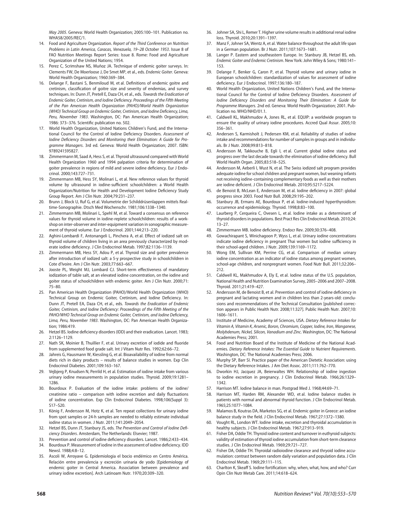May 2005. Geneva: World Health Organization; 2005:100–101. Publication no. WHA58/2005/REC/1.

- 14. Food and Agriculture Organization. Report of the Third Conference on Nutrition Problems in Latin America, Caracas, Venezuela, 19–28 October 1953. Issue 8 of FAO Nutrition Meetings Report Series: Issue 8. Rome: Food and Agriculture Organization of the United Nations; 1954.
- 15. Perez C, Scrimshaw NS, Muñoz JA. Technique of endemic goiter surveys. In: Clements FW, De Moerloose J, De Smet MP, et al., eds. Endemic Goiter. Geneva: World Health Organization; 1960:369–384.
- 16. Delange F, Bastani S, Benmiloud M, et al. Definitions of endemic goitre and cretinism, classification of goitre size and severity of endemias, and survey techniques. In: Dunn JT, Pretell E, Daza CH, et al., eds. Towards the Eradication of Endemic Goiter, Cretinism, and Iodine Deficiency. Proceedings of the Fifth Meeting of the Pan American Health Organization (PAHO)/World Health Organization (WHO) Technical Group on Endemic Goiter, Cretinism, and Iodine Deficiency, Lima, Peru, November 1983. Washington, DC: Pan American Health Organization; 1986: 373–376. Scientific publication no. 502.
- 17. World Health Organization, United Nations Children's Fund, and the International Council for the Control of Iodine Deficiency Disorders. Assessment of Iodine Deficiency Disorders and Monitoring their Elimination: A Guide for Programme Managers. 3rd ed. Geneva: World Health Organization; 2007. ISBN: 9789241595827.
- 18. Zimmermann M, Saad A, Hess S, et al. Thyroid ultrasound compared with World Health Organization 1960 and 1994 palpation criteria for determination of goiter prevalence in regions of mild and severe iodine deficiency. Eur J Endocrinol. 2000;143:727–731.
- 19. Zimmermann MB, Hess SY, Molinari L, et al. New reference values for thyroid volume by ultrasound in iodine-sufficient schoolchildren: a World Health Organization/Nutrition for Health and Development Iodine Deficiency Study Group Report. Am J Clin Nutr. 2004;79:231–237.
- 20. Brunn J, Block U, Ruf G, et al. Volumetrie der Schilddrüsenlappen mittels Realtime-Sonographie. Dtsch Med Wochenschr. 1981;106:1338–1340.
- 21. Zimmermann MB, Molinari L, Spehl M, et al. Toward a consensus on reference values for thyroid volume in iodine-replete schoolchildren: results of a workshop on inter-observer and inter-equipment variation in sonographic measurement of thyroid volume. Eur J Endocrinol. 2001;144:213–220.
- 22. Aghini-Lombardi F, Antonangeli L, Pinchera A, et al. Effect of iodized salt on thyroid volume of children living in an area previously characterized by moderate iodine deficiency. J Clin Endocrinol Metab. 1997;82:1136–1139.
- 23. Zimmermann MB, Hess SY, Adou P, et al. Thyroid size and goiter prevalence after introduction of iodized salt: a 5-y prospective study in schoolchildren in Cote d'Ivoire. Am J Clin Nutr. 2003;77:663–667.
- 24. Jooste PL, Weight MJ, Lombard CJ. Short-term effectiveness of mandatory iodization of table salt, at an elevated iodine concentration, on the iodine and goiter status of schoolchildren with endemic goiter. Am J Clin Nutr. 2000;71: 75–80.
- 25. Pan American Health Organization (PAHO)/World Health Organization (WHO) Technical Group on Endemic Goiter, Cretinism, and Iodine Deficiency. In: Dunn JT, Pretell EA, Daza CH, et al., eds. Towards the Eradication of Endemic Goiter, Cretinism, and Iodine Deficiency: Proceedings of the Fifth Meeting of the PAHO/WHO Technical Group on Endemic Goiter, Cretinism, and Iodine Deficiency, Lima, Peru, November 1983. Washington, DC: Pan American Health Organization; 1986:419.
- 26. Hetzel BS. Iodine deficiency disorders (IDD) and their eradication. Lancet. 1983; 2:1126–1129.
- 27. Nath SK, Moinier B, Thuillier F, et al. Urinary excretion of iodide and fluoride from supplemented food grade salt. Int J Vitam Nutr Res. 1992;62:66–72.
- 28. Jahreis G, Hausmann W, Kiessling G, et al. Bioavailability of iodine from normal diets rich in dairy products – results of balance studies in women. Exp Clin Endocrinol Diabetes. 2001;109:163–167.
- 29. Vejbjerg P, Knudsen N, Perrild H, et al. Estimation of iodine intake from various urinary iodine measurements in population studies. Thyroid. 2009;19:1281– 1286.
- 30. Bourdoux P. Evaluation of the iodine intake: problems of the iodine/ creatinine ratio – comparison with iodine excretion and daily fluctuations of iodine concentration. Exp Clin Endocrinol Diabetes. 1998;106(Suppl 3): S17–S20.
- 31. König F, Andersson M, Hotz K, et al. Ten repeat collections for urinary iodine from spot samples or 24-h samples are needed to reliably estimate individual iodine status in women. J Nutr. 2011;141:2049–2054.
- 32. Hetzel BS, Dunn JT, Stanbury JS, eds. The Prevention and Control of Iodine Deficiency Disorders. Amsterdam, The Netherlands: Elsevier; 1987.
- 33. Prevention and control of iodine deficiency disorders. Lancet. 1986;2:433–434.
- 34. Bourdoux P. Measurement of iodine in the assessment of iodine deficiency. IDD Newsl. 1988;4:8–12.
- 35. Ascoli W, Arroyave G. Epidemiologia el bocio endémico en Centro América. Relación entre prevalencia y excreción urinaria de yodo [Epidemiology of endemic goiter in Central America. Association between prevalence and urinary iodine excretion]. Arch Latinoam Nutr. 1970;20:309–320.
- 36. Johner SA, Shi L, Remer T. Higher urine volume results in additional renal iodine loss. Thyroid. 2010;20:1391–1397.
- 37. Manz F, Johner SA, Wentz A, et al. Water balance throughout the adult life span in a German population. Br J Nutr. 2011;107:1673–1681.
- 38. Langer P. Eastern and southeastern Europe. In: Stanbury JB, Hetzel BS, eds. Endemic Goiter and Endemic Cretinism. New York: John Wiley & Sons; 1980:141– 153.
- 39. Delange F, Benker G, Caron P, et al. Thyroid volume and urinary iodine in European schoolchildren: standardization of values for assessment of iodine deficiency. Eur J Endocrinol. 1997;136:180–187.
- 40. World Health Organization, United Nations Children's Fund, and the International Council for the Control of Iodine Deficiency Disorders. Assessment of Iodine Deficiency Disorders and Monitoring Their Elimination: A Guide for Programme Managers. 2nd ed. Geneva: World Health Organization; 2001. Publication no. WHO/NHD/01.1.
- 41. Caldwell KL, Makhmudov A, Jones RL, et al. EQUIP: a worldwide program to ensure the quality of urinary iodine procedures. Accred Qual Assur. 2005;10: 356–361.
- 42. Andersen S, Karmisholt J, Pedersen KM, et al. Reliability of studies of iodine intake and recommendations for number of samples in groups and in individuals. Br J Nutr. 2008;99:813–818.
- 43. Andersson M, Takkouche B, Egli I, et al. Current global iodine status and progress over the last decade towards the elimination of iodine deficiency. Bull World Health Organ. 2005;83:518-525.
- 44. Andersson M, Aeberli I, Wust N, et al. The Swiss iodized salt program provides adequate iodine for school children and pregnant women, but weaning infants not receiving iodine-containing complementary foods as well as their mothers are iodine deficient. J Clin Endocrinol Metab. 2010;95:5217–5224.
- 45. de Benoist B, McLean E, Andersson M, et al. Iodine deficiency in 2007: global progress since 2003. Food Nutr Bull. 2008;29:195–202.
- 46. Stanbury JB, Ermans AE, Bourdoux P, et al. Iodine-induced hyperthyroidism: occurrence and epidemiology. Thyroid. 1998;8:83–100.
- 47. Laurberg P, Cerqueira C, Ovesen L, et al. Iodine intake as a determinant of thyroid disorders in populations. Best Pract Res Clin Endocrinol Metab. 2010;24: 13–27.
- 48. Zimmermann MB. Iodine deficiency. Endocr Rev. 2009;30:376–408.
- 49. Gowachirapant S, Winichagoon P, Wyss L, et al. Urinary iodine concentrations indicate iodine deficiency in pregnant Thai women but iodine sufficiency in their school-aged children. J Nutr. 2009;139:1169–1172.
- 50. Wong EM, Sullivan KM, Perrine CG, et al. Comparison of median urinary iodine concentration as an indicator of iodine status among pregnant women, school-age children, and nonpregnant women. Food Nutr Bull. 2011;32:206– 212.
- 51. Caldwell KL, Makhmudov A, Ely E, et al. Iodine status of the U.S. population, National Health and Nutrition Examination Survey, 2005–2006 and 2007–2008. Thyroid. 2011;21:419–427.
- 52. Andersson M, de Benoist B, et al. Prevention and control of iodine deficiency in pregnant and lactating women and in children less than 2-years-old: conclusions and recommendations of the Technical Consultation [published correction appears in Public Health Nutr. 2008;11:327]. Public Health Nutr. 2007;10: 1606–1611.
- 53. Institute of Medicine, Academy of Sciences, USA. Dietary Reference Intakes for Vitamin A, Vitamin K, Arsenic, Boron, Chromium, Copper, Iodine, Iron, Manganese, Molybdenum, Nickel, Silicon, Vanadium and Zinc. Washington, DC: The National Academies Press; 2001.
- 54. Food and Nutrition Board of the Institute of Medicine of the National Academies. Dietary Reference Intakes: The Essential Guide to Nutrient Requirements. Washington, DC: The National Academies Press; 2006.
- 55. Murphy SP, Barr SI. Practice paper of the American Dietetic Association: using the Dietary Reference Intakes. J Am Diet Assoc. 2011;111:762–770.
- 56. Dworkin HJ, Jacquez JA, Beierwaltes WH. Relationship of iodine ingestion to iodine excretion in pregnancy. J Clin Endocrinol Metab. 1966;26:1329– 1342.
- 57. Harrison MT. Iodine balance in man. Postgrad Med J. 1968;44:69–71.
- 58. Harrison MT, Harden RM, Alexander WD, et al. Iodine balance studies in patients with normal and abnormal thyroid function. J Clin Endocrinol Metab. 1965;25:1077–1084.
- 59. Malamos B, Koutras DA, Marketos SG, et al. Endemic goiter in Greece: an iodine balance study in the field. J Clin Endocrinol Metab. 1967;27:1372–1380.
- 60. Vought RL, London WT. Iodine intake, excretion and thyroidal accumulation in healthy subjects. J Clin Endocrinol Metab. 1967;27:913–919.
- 61. Fisher DA, Oddie TH. Thyroid iodine content and turnover in euthyroid subjects: validity of estimation of thyroid iodine accumulation from short-term clearance studies. J Clin Endocrinol Metab. 1969;29:721–727.
- 62. Fisher DA, Oddie TH. Thyroidal radioiodine clearance and thryoid iodine accumulation: contrast between random daily variation and population data. J Clin Endocrinol Metab. 1969;29:111–115.
- 63. Charlton K, Skeaff S. Iodine fortification: why, when, what, how, and who? Curr Opin Clin Nutr Metab Care. 2011;14:618–624.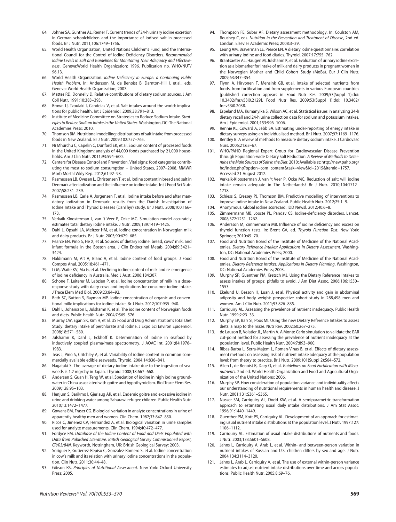- 64. Johner SA, Gunther AL, Remer T. Current trends of 24-h urinary iodine excretion in German schoolchildren and the importance of iodised salt in processed foods. Br J Nutr. 2011;106:1749–1756.
- 65. World Health Organization, United Nations Children's Fund, and the International Council for the Control of Iodine Deficiency Disorders. Recommended Iodine Levels in Salt and Guidelines for Monitoring Their Adequacy and Effectiveness. Geneva:World Health Organization; 1996. Publication no. WHO/NUT/ 96.13.
- 66. World Health Organization. Iodine Deficiency in Europe: a Continuing Public Health Problem. In: Andersson M, de Benoist B, Darnton-Hill I, et al., eds. Geneva: World Health Organization; 2007.
- 67. Mattes RD, Donnelly D. Relative contributions of dietary sodium sources. J Am Coll Nutr. 1991;10:383–393.
- 68. Brown IJ, Tzoulaki I, Candeias V, et al. Salt intakes around the world: implications for public health. Int J Epidemiol. 2009;38:791–813.
- 69. Institute of Medicine Committee on Strategies to Reduce Sodium Intake. Strategies to Reduce Sodium Intake in the United States. Washington, DC: The National Academies Press; 2010.
- 70. Thomson BM. Nutritional modelling: distributions of salt intake from processed foods in New Zealand. Br J Nutr. 2009;102:757–765.
- 71. Ni Mhurchu C, Capelin C, Dunford EK, et al. Sodium content of processed foods in the United Kingdom: analysis of 44,000 foods purchased by 21,000 households. Am J Clin Nutr. 2011;93:594–600.
- 72. Centers for Disease Control and Prevention. Vital signs: food categories contributing the most to sodium consumption – United States, 2007–2008. MMWR Morb Mortal Wkly Rep. 2012;61:92–98.
- 73. Rasmussen LB, Ovesen L, Christensen T, et al. Iodine content in bread and salt in Denmark after iodization and the influence on iodine intake. Int J Food Sci Nutr. 2007;58:231–239.
- 74. Rasmussen LB, Carle A, Jorgensen T, et al. Iodine intake before and after mandatory iodization in Denmark: results from the Danish Investigation of Iodine Intake and Thyroid Diseases (DanThyr) study. Br J Nutr. 2008;100:166– 173.
- 75. Verkaik-Kloosterman J, van 't Veer P, Ocke MC. Simulation model accurately estimates total dietary iodine intake. J Nutr. 2009;139:1419–1425.
- 76. Dahl L, Opsahl JA, Meltzer HM, et al. Iodine concentration in Norwegian milk and dairy products. Br J Nutr. 2003;90:679–685.
- 77. Pearce EN, Pino S, He X, et al. Sources of dietary iodine: bread, cows' milk, and infant formula in the Boston area. J Clin Endocrinol Metab. 2004;89:3421– 3424.
- 78. Haldimann M, Alt A, Blanc A, et al. Iodine content of food groups. J Food Compos Anal. 2005;18:461–471.
- 79. Li M, Waite KV, Ma G, et al. Declining iodine content of milk and re-emergence of iodine deficiency in Australia. Med J Aust. 2006;184:307.
- 80. Schone F, Leiterer M, Lebzien P, et al. Iodine concentration of milk in a doseresponse study with dairy cows and implications for consumer iodine intake. J Trace Elem Med Biol. 2009;23:84–92.
- 81. Bath SC, Button S, Rayman MP. Iodine concentration of organic and conventional milk: implications for iodine intake. Br J Nutr. 2012;107:935–940.
- 82. Dahl L, Johansson L, Julshamn K, et al. The iodine content of Norwegian foods and diets. Public Health Nutr. 2004;7:569–576.
- 83. Murray CW, Egan SK, Kim H, et al. US Food and Drug Administration's Total Diet Study: dietary intake of perchlorate and iodine. J Expo Sci Environ Epidemiol. 2008;18:571–580.
- 84. Julshamn K, Dahl L, Eckhoff K. Determination of iodine in seafood by inductively coupled plasma/mass spectrometry. J AOAC Int. 2001;84:1976– 1983.
- 85. Teas J, Pino S, Critchley A, et al. Variability of iodine content in common commercially available edible seaweeds. Thyroid. 2004;14:836–841.
- 86. Nagataki S. The average of dietary iodine intake due to the ingestion of seaweeds is 1.2 mg/day in Japan. Thyroid. 2008;18:667–668.
- 87. Andersen S, Guan H, Teng W, et al. Speciation of iodine in high iodine groundwater in China associated with goitre and hypothyroidism. Biol Trace Elem Res. 2009;128:95–103.
- 88. Henjum S, Barikmo I, Gjerlaug AK, et al. Endemic goitre and excessive jodine in urine and drinking water among Saharawi refugee children. Public Health Nutr. 2010;13:1472–1477.
- 89. Gowans EM, Fraser CG. Biological variation in analyte concentrations in urine of apparently healthy men and women. Clin Chem. 1987;33:847–850.
- 90. Ricos C, Jimenez CV, Hernandez A, et al. Biological variation in urine samples used for analyte measurements. Clin Chem. 1994;40:472–477.
- 91. Fordyce FM. Database of the Iodine Content of Food and Diets Populated with Data from Published Literature. British Geological Survey Commissioned Report, CR/03/84N. Keyworth, Nottingham, UK: British Geological Survey; 2003.
- 92. Soriguer F, Gutierrez-Repiso C, Gonzalez-Romero S, et al. Iodine concentration in cow's milk and its relation with urinary iodine concentrations in the population. Clin Nutr. 2011;30:44–48.
- 93. Gibson RS. Principles of Nutritional Assessment. New York: Oxford University Press; 2005.
- 94. Thompson FE, Subar AF. Dietary assessment methodology. In: Coulston AM, Boushey C, eds. Nutrition in the Prevention and Treatment of Disease, 2nd ed. London: Elsevier Academic Press; 2008:3–39.
- 95. Leung AM, Braverman LE, Pearce EN. A dietary iodine questionnaire: correlation with urinary iodine and food diaries. Thyroid. 2007;17:755–762.
- 96. Brantsaeter AL, Haugen M, Julshamn K, et al. Evaluation of urinary iodine excretion as a biomarker for intake of milk and dairy products in pregnant women in the Norwegian Mother and Child Cohort Study (MoBa). Eur J Clin Nutr. 2009;63:347–354.
- 97. Flynn A, Hirvonen T, Mensink GB, et al. Intake of selected nutrients from foods, from fortification and from supplements in various European countries [published correction appears in Food Nutr Res. 2009;53(Suppl 1):doi: 10.3402/fnr.v53i0.2129]. Food Nutr Res. 2009;53(Suppl 1):doi: 10.3402/ fnr.v53i0.2038.
- 98. Espeland MA, Kumanyika S, Wilson AC, et al. Statistical issues in analyzing 24-h dietary recall and 24-h urine collection data for sodium and potassium intakes. Am J Epidemiol. 2001;153:996–1006.
- Rennie KL, Coward A, Jebb SA. Estimating under-reporting of energy intake in dietary surveys using an individualised method. Br J Nutr. 2007;97:1169–1176.
- 100. Bentley B. A review of methods to measure dietary sodium intake. J Cardiovasc Nurs. 2006;21:63–67.
- 101. WHO/PAHO Regional Expert Group for Cardiovascular Disease Prevention through Population-wide Dietary Salt Reduction. A Review of Methods to Determinethe Main Sources of Salt inthe Diet. 2010; Available at: http://new.paho.org/ hq/index.php?option=com\_content&task=view&id=2015&Itemid=1757. Accessed 21 August 2012.
- 102. Verkaik-Kloosterman J, van 't Veer P, Ocke MC. Reduction of salt: will iodine intake remain adequate in The Netherlands? Br J Nutr. 2010;104:1712– 1718.
- 103. Schiess S, Cressey PJ, Thomson BM. Predictive modelling of interventions to improve iodine intake in New Zealand. Public Health Nutr. 2012;25:1–9.
- 104. Anonymous. Global iodine scorecard. IDD Newsl. 2012;40:6–8.
- 105. Zimmermann MB, Jooste PL, Pandav CS. Iodine-deficiency disorders. Lancet. 2008;372:1251–1262.
- Andersson M, Zimmermann MB. Influence of iodine deficiency and excess on thyroid function tests. In: Brent GA, ed. Thyroid Function Test. New York: Springer; 2010:45–70.
- Food and Nutrition Board of the Institute of Medicine of the National Academies. Dietary Reference Intakes: Applications in Dietary Assessment. Washington, DC: National Academies Press; 2000.
- 108. Food and Nutrition Board of the Institute of Medicine of the National Academies. Dietary Reference Intakes: Applications in Dietary Planning. Washington, DC: National Academies Press; 2003.
- 109. Murphy SP, Guenther PM, Kretsch MJ. Using the Dietary Reference Intakes to assess intakes of groups: pitfalls to avoid. J Am Diet Assoc. 2006;106:1550– 1553.
- 110. Ekelund U, Besson H, Luan J, et al. Physical activity and gain in abdominal adiposity and body weight: prospective cohort study in 288,498 men and women. Am J Clin Nutr. 2011;93:826–835.
- 111. Carriquiry AL. Assessing the prevalence of nutrient inadequacy. Public Health Nutr. 1999;2:23–33.
- 112. Murphy SP, Barr SI, Poos MI. Using the new Dietary Reference Intakes to assess diets: a map to the maze. Nutr Rev. 2002;60:267–275.
- 113. de Lauzon B, Volatier JL, Martin A. A Monte Carlo simulation to validate the EAR cut-point method for assessing the prevalence of nutrient inadequacy at the population level. Public Health Nutr. 2004;7:893–900.
- 114. Ribas-Barba L, Serra-Majem L, Roman-Vinas B, et al. Effects of dietary assessment methods on assessing risk of nutrient intake adequacy at the population level: from theory to practice. Br J Nutr. 2009;101(Suppl 2):S64–S72.
- 115. Allen L, de Benoist B, Dary O, et al. Guidelines on Food Fortification with Micronutrients. 2nd ed. World Health Organization and Food and Agricultural Organization of the United Nations; 2006.
- 116. Murphy SP. How consideration of population variance and individuality affects our understanding of nutritional requirements in human health and disease. J Nutr. 2001;131:S361–S365.
- Nusser SM, Carriquiry AL, Dodd KW, et al. A semiparametric transformation approach to estimating usual daily intake distributions. J Am Stat Assoc. 1996;91:1440–1449.
- 118. Guenther PM, Kott PS, Carriquiry AL. Development of an approach for estimating usual nutrient intake distributions at the population level. J Nutr. 1997;127: 1106–1112.
- 119. Carriquiry AL. Estimation of usual intake distributions of nutrients and foods. J Nutr. 2003;133:S601–S608.
- 120. Jahns L, Carriquiry A, Arab L, et al. Within- and between-person variation in nutrient intakes of Russian and U.S. children differs by sex and age. J Nutr. 2004;134:3114–3120.
- 121. Jahns L, Arab L, Carriquiry A, et al. The use of external within-person variance estimates to adjust nutrient intake distributions over time and across populations. Public Health Nutr. 2005;8:69–76.